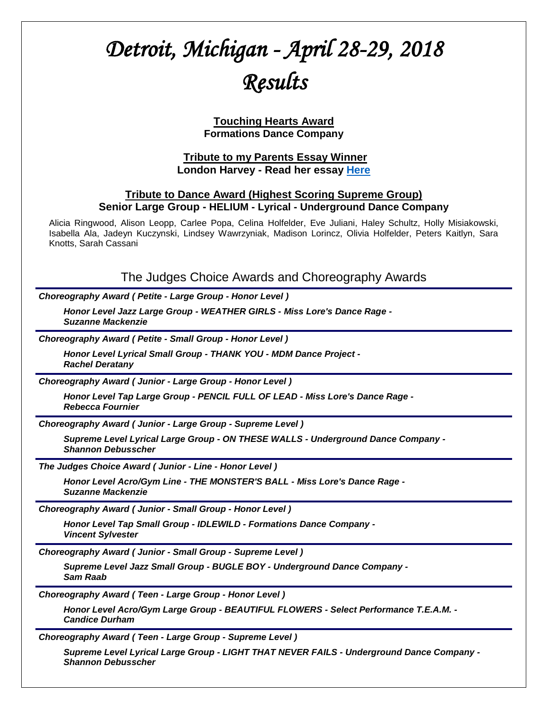# *Detroit, Michigan - April 28-29, 2018 Results*

**Touching Hearts Award Formations Dance Company**

#### **Tribute to my Parents Essay Winner London Harvey - Read her essay [Here](http://tributetodance.com/wp-content/uploads/2018/04/detroitessay18.pdf)**

#### **Tribute to Dance Award (Highest Scoring Supreme Group) Senior Large Group - HELIUM - Lyrical - Underground Dance Company**

Alicia Ringwood, Alison Leopp, Carlee Popa, Celina Holfelder, Eve Juliani, Haley Schultz, Holly Misiakowski, Isabella Ala, Jadeyn Kuczynski, Lindsey Wawrzyniak, Madison Lorincz, Olivia Holfelder, Peters Kaitlyn, Sara Knotts, Sarah Cassani

The Judges Choice Awards and Choreography Awards

*Choreography Award ( Petite - Large Group - Honor Level )*

*Honor Level Jazz Large Group - WEATHER GIRLS - Miss Lore's Dance Rage - Suzanne Mackenzie*

*Choreography Award ( Petite - Small Group - Honor Level )*

*Honor Level Lyrical Small Group - THANK YOU - MDM Dance Project - Rachel Deratany*

*Choreography Award ( Junior - Large Group - Honor Level )*

*Honor Level Tap Large Group - PENCIL FULL OF LEAD - Miss Lore's Dance Rage - Rebecca Fournier*

*Choreography Award ( Junior - Large Group - Supreme Level )*

*Supreme Level Lyrical Large Group - ON THESE WALLS - Underground Dance Company - Shannon Debusscher*

*The Judges Choice Award ( Junior - Line - Honor Level )*

*Honor Level Acro/Gym Line - THE MONSTER'S BALL - Miss Lore's Dance Rage - Suzanne Mackenzie*

*Choreography Award ( Junior - Small Group - Honor Level )*

*Honor Level Tap Small Group - IDLEWILD - Formations Dance Company - Vincent Sylvester*

*Choreography Award ( Junior - Small Group - Supreme Level )*

*Supreme Level Jazz Small Group - BUGLE BOY - Underground Dance Company - Sam Raab*

*Choreography Award ( Teen - Large Group - Honor Level )*

*Honor Level Acro/Gym Large Group - BEAUTIFUL FLOWERS - Select Performance T.E.A.M. - Candice Durham*

*Choreography Award ( Teen - Large Group - Supreme Level )*

*Supreme Level Lyrical Large Group - LIGHT THAT NEVER FAILS - Underground Dance Company - Shannon Debusscher*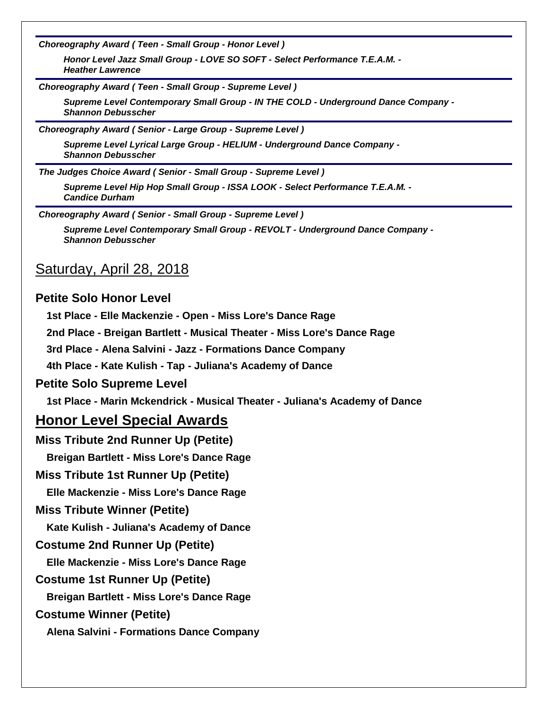*Choreography Award ( Teen - Small Group - Honor Level )*

*Honor Level Jazz Small Group - LOVE SO SOFT - Select Performance T.E.A.M. - Heather Lawrence*

*Choreography Award ( Teen - Small Group - Supreme Level )*

*Supreme Level Contemporary Small Group - IN THE COLD - Underground Dance Company - Shannon Debusscher*

*Choreography Award ( Senior - Large Group - Supreme Level )*

*Supreme Level Lyrical Large Group - HELIUM - Underground Dance Company - Shannon Debusscher*

*The Judges Choice Award ( Senior - Small Group - Supreme Level )*

*Supreme Level Hip Hop Small Group - ISSA LOOK - Select Performance T.E.A.M. - Candice Durham*

*Choreography Award ( Senior - Small Group - Supreme Level )*

*Supreme Level Contemporary Small Group - REVOLT - Underground Dance Company - Shannon Debusscher*

## Saturday, April 28, 2018

#### **Petite Solo Honor Level**

**1st Place - Elle Mackenzie - Open - Miss Lore's Dance Rage**

**2nd Place - Breigan Bartlett - Musical Theater - Miss Lore's Dance Rage**

**3rd Place - Alena Salvini - Jazz - Formations Dance Company**

**4th Place - Kate Kulish - Tap - Juliana's Academy of Dance**

#### **Petite Solo Supreme Level**

**1st Place - Marin Mckendrick - Musical Theater - Juliana's Academy of Dance**

## **Honor Level Special Awards**

**Miss Tribute 2nd Runner Up (Petite)**

**Breigan Bartlett - Miss Lore's Dance Rage**

#### **Miss Tribute 1st Runner Up (Petite)**

**Elle Mackenzie - Miss Lore's Dance Rage**

#### **Miss Tribute Winner (Petite)**

**Kate Kulish - Juliana's Academy of Dance**

#### **Costume 2nd Runner Up (Petite)**

**Elle Mackenzie - Miss Lore's Dance Rage**

#### **Costume 1st Runner Up (Petite)**

**Breigan Bartlett - Miss Lore's Dance Rage**

#### **Costume Winner (Petite)**

**Alena Salvini - Formations Dance Company**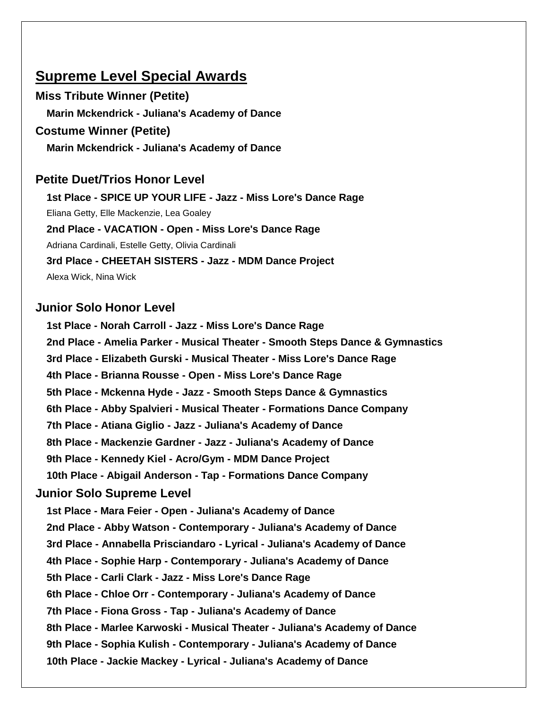# **Supreme Level Special Awards**

**Miss Tribute Winner (Petite) Marin Mckendrick - Juliana's Academy of Dance Costume Winner (Petite)**

**Marin Mckendrick - Juliana's Academy of Dance**

## **Petite Duet/Trios Honor Level**

**1st Place - SPICE UP YOUR LIFE - Jazz - Miss Lore's Dance Rage**

Eliana Getty, Elle Mackenzie, Lea Goaley

**2nd Place - VACATION - Open - Miss Lore's Dance Rage**

Adriana Cardinali, Estelle Getty, Olivia Cardinali

**3rd Place - CHEETAH SISTERS - Jazz - MDM Dance Project**

Alexa Wick, Nina Wick

## **Junior Solo Honor Level**

**1st Place - Norah Carroll - Jazz - Miss Lore's Dance Rage 2nd Place - Amelia Parker - Musical Theater - Smooth Steps Dance & Gymnastics 3rd Place - Elizabeth Gurski - Musical Theater - Miss Lore's Dance Rage 4th Place - Brianna Rousse - Open - Miss Lore's Dance Rage 5th Place - Mckenna Hyde - Jazz - Smooth Steps Dance & Gymnastics 6th Place - Abby Spalvieri - Musical Theater - Formations Dance Company 7th Place - Atiana Giglio - Jazz - Juliana's Academy of Dance 8th Place - Mackenzie Gardner - Jazz - Juliana's Academy of Dance 9th Place - Kennedy Kiel - Acro/Gym - MDM Dance Project 10th Place - Abigail Anderson - Tap - Formations Dance Company Junior Solo Supreme Level 1st Place - Mara Feier - Open - Juliana's Academy of Dance 2nd Place - Abby Watson - Contemporary - Juliana's Academy of Dance 3rd Place - Annabella Prisciandaro - Lyrical - Juliana's Academy of Dance 4th Place - Sophie Harp - Contemporary - Juliana's Academy of Dance 5th Place - Carli Clark - Jazz - Miss Lore's Dance Rage 6th Place - Chloe Orr - Contemporary - Juliana's Academy of Dance 7th Place - Fiona Gross - Tap - Juliana's Academy of Dance 8th Place - Marlee Karwoski - Musical Theater - Juliana's Academy of Dance 9th Place - Sophia Kulish - Contemporary - Juliana's Academy of Dance 10th Place - Jackie Mackey - Lyrical - Juliana's Academy of Dance**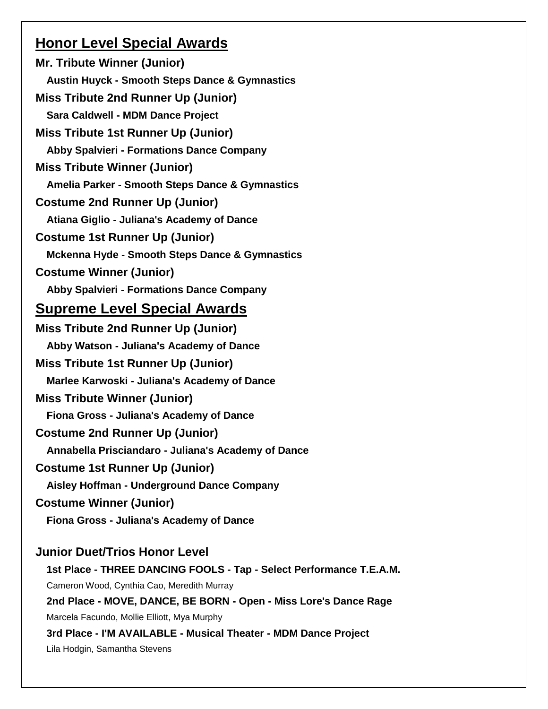# **Honor Level Special Awards**

**Mr. Tribute Winner (Junior) Austin Huyck - Smooth Steps Dance & Gymnastics Miss Tribute 2nd Runner Up (Junior) Sara Caldwell - MDM Dance Project Miss Tribute 1st Runner Up (Junior) Abby Spalvieri - Formations Dance Company Miss Tribute Winner (Junior) Amelia Parker - Smooth Steps Dance & Gymnastics Costume 2nd Runner Up (Junior) Atiana Giglio - Juliana's Academy of Dance Costume 1st Runner Up (Junior) Mckenna Hyde - Smooth Steps Dance & Gymnastics Costume Winner (Junior) Abby Spalvieri - Formations Dance Company Supreme Level Special Awards Miss Tribute 2nd Runner Up (Junior) Abby Watson - Juliana's Academy of Dance Miss Tribute 1st Runner Up (Junior) Marlee Karwoski - Juliana's Academy of Dance Miss Tribute Winner (Junior) Fiona Gross - Juliana's Academy of Dance Costume 2nd Runner Up (Junior) Annabella Prisciandaro - Juliana's Academy of Dance Costume 1st Runner Up (Junior) Aisley Hoffman - Underground Dance Company Costume Winner (Junior) Fiona Gross - Juliana's Academy of Dance Junior Duet/Trios Honor Level 1st Place - THREE DANCING FOOLS - Tap - Select Performance T.E.A.M.** Cameron Wood, Cynthia Cao, Meredith Murray **2nd Place - MOVE, DANCE, BE BORN - Open - Miss Lore's Dance Rage**

Marcela Facundo, Mollie Elliott, Mya Murphy

**3rd Place - I'M AVAILABLE - Musical Theater - MDM Dance Project**

Lila Hodgin, Samantha Stevens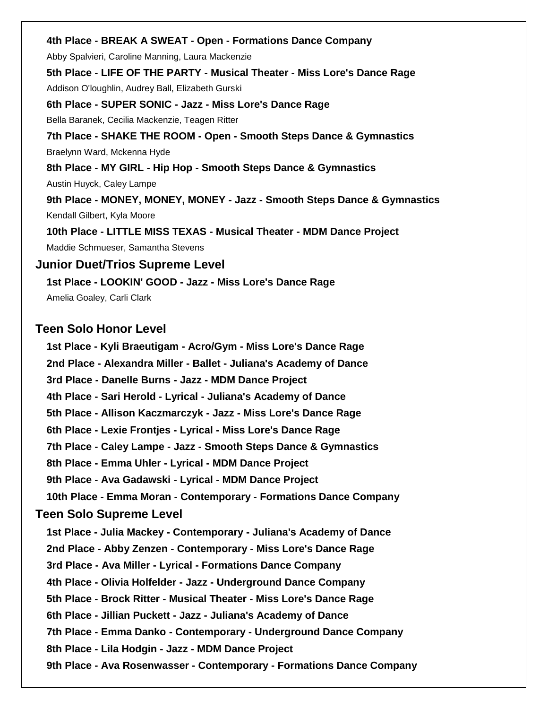#### **4th Place - BREAK A SWEAT - Open - Formations Dance Company**

Abby Spalvieri, Caroline Manning, Laura Mackenzie

**5th Place - LIFE OF THE PARTY - Musical Theater - Miss Lore's Dance Rage**

Addison O'loughlin, Audrey Ball, Elizabeth Gurski

**6th Place - SUPER SONIC - Jazz - Miss Lore's Dance Rage**

Bella Baranek, Cecilia Mackenzie, Teagen Ritter

**7th Place - SHAKE THE ROOM - Open - Smooth Steps Dance & Gymnastics**

Braelynn Ward, Mckenna Hyde

**8th Place - MY GIRL - Hip Hop - Smooth Steps Dance & Gymnastics**

Austin Huyck, Caley Lampe

**9th Place - MONEY, MONEY, MONEY - Jazz - Smooth Steps Dance & Gymnastics** Kendall Gilbert, Kyla Moore

**10th Place - LITTLE MISS TEXAS - Musical Theater - MDM Dance Project** Maddie Schmueser, Samantha Stevens

#### **Junior Duet/Trios Supreme Level**

**1st Place - LOOKIN' GOOD - Jazz - Miss Lore's Dance Rage** Amelia Goaley, Carli Clark

## **Teen Solo Honor Level**

**1st Place - Kyli Braeutigam - Acro/Gym - Miss Lore's Dance Rage 2nd Place - Alexandra Miller - Ballet - Juliana's Academy of Dance 3rd Place - Danelle Burns - Jazz - MDM Dance Project 4th Place - Sari Herold - Lyrical - Juliana's Academy of Dance 5th Place - Allison Kaczmarczyk - Jazz - Miss Lore's Dance Rage 6th Place - Lexie Frontjes - Lyrical - Miss Lore's Dance Rage 7th Place - Caley Lampe - Jazz - Smooth Steps Dance & Gymnastics 8th Place - Emma Uhler - Lyrical - MDM Dance Project 9th Place - Ava Gadawski - Lyrical - MDM Dance Project 10th Place - Emma Moran - Contemporary - Formations Dance Company Teen Solo Supreme Level 1st Place - Julia Mackey - Contemporary - Juliana's Academy of Dance 2nd Place - Abby Zenzen - Contemporary - Miss Lore's Dance Rage 3rd Place - Ava Miller - Lyrical - Formations Dance Company 4th Place - Olivia Holfelder - Jazz - Underground Dance Company 5th Place - Brock Ritter - Musical Theater - Miss Lore's Dance Rage 6th Place - Jillian Puckett - Jazz - Juliana's Academy of Dance 7th Place - Emma Danko - Contemporary - Underground Dance Company 8th Place - Lila Hodgin - Jazz - MDM Dance Project 9th Place - Ava Rosenwasser - Contemporary - Formations Dance Company**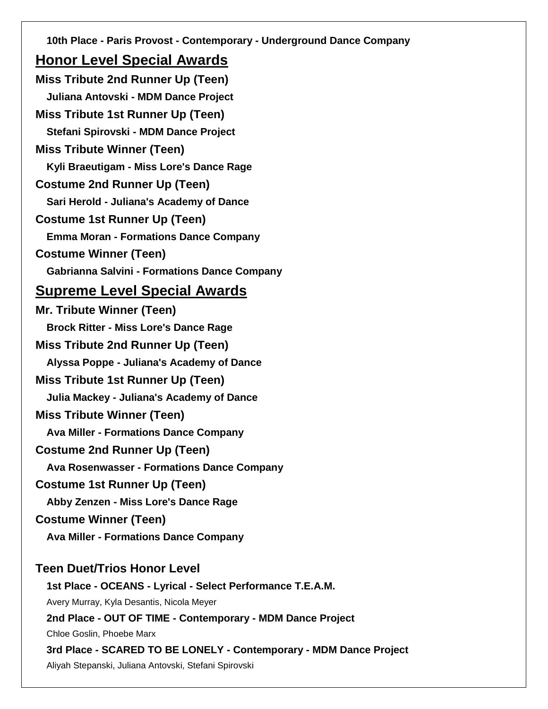**10th Place - Paris Provost - Contemporary - Underground Dance Company**

# **Honor Level Special Awards**

**Miss Tribute 2nd Runner Up (Teen) Juliana Antovski - MDM Dance Project Miss Tribute 1st Runner Up (Teen) Stefani Spirovski - MDM Dance Project Miss Tribute Winner (Teen) Kyli Braeutigam - Miss Lore's Dance Rage Costume 2nd Runner Up (Teen) Sari Herold - Juliana's Academy of Dance Costume 1st Runner Up (Teen) Emma Moran - Formations Dance Company Costume Winner (Teen) Gabrianna Salvini - Formations Dance Company Supreme Level Special Awards Mr. Tribute Winner (Teen) Brock Ritter - Miss Lore's Dance Rage Miss Tribute 2nd Runner Up (Teen) Alyssa Poppe - Juliana's Academy of Dance Miss Tribute 1st Runner Up (Teen) Julia Mackey - Juliana's Academy of Dance Miss Tribute Winner (Teen) Ava Miller - Formations Dance Company Costume 2nd Runner Up (Teen) Ava Rosenwasser - Formations Dance Company Costume 1st Runner Up (Teen) Abby Zenzen - Miss Lore's Dance Rage Costume Winner (Teen) Ava Miller - Formations Dance Company Teen Duet/Trios Honor Level 1st Place - OCEANS - Lyrical - Select Performance T.E.A.M.** Avery Murray, Kyla Desantis, Nicola Meyer **2nd Place - OUT OF TIME - Contemporary - MDM Dance Project** Chloe Goslin, Phoebe Marx **3rd Place - SCARED TO BE LONELY - Contemporary - MDM Dance Project** Aliyah Stepanski, Juliana Antovski, Stefani Spirovski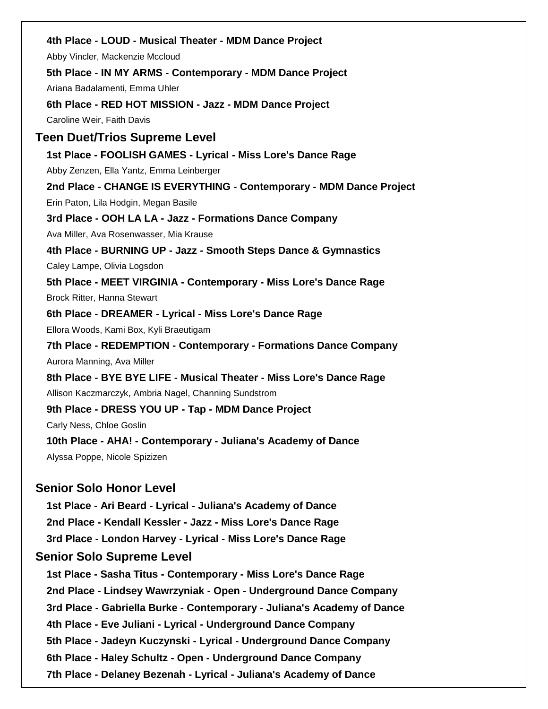|                                  | 4th Place - LOUD - Musical Theater - MDM Dance Project              |
|----------------------------------|---------------------------------------------------------------------|
|                                  | Abby Vincler, Mackenzie Mccloud                                     |
|                                  | 5th Place - IN MY ARMS - Contemporary - MDM Dance Project           |
|                                  | Ariana Badalamenti, Emma Uhler                                      |
|                                  | 6th Place - RED HOT MISSION - Jazz - MDM Dance Project              |
|                                  | Caroline Weir, Faith Davis                                          |
| Teen Duet/Trios Supreme Level    |                                                                     |
|                                  | 1st Place - FOOLISH GAMES - Lyrical - Miss Lore's Dance Rage        |
|                                  | Abby Zenzen, Ella Yantz, Emma Leinberger                            |
|                                  | 2nd Place - CHANGE IS EVERYTHING - Contemporary - MDM Dance Project |
|                                  | Erin Paton, Lila Hodgin, Megan Basile                               |
|                                  | 3rd Place - OOH LA LA - Jazz - Formations Dance Company             |
|                                  | Ava Miller, Ava Rosenwasser, Mia Krause                             |
|                                  | 4th Place - BURNING UP - Jazz - Smooth Steps Dance & Gymnastics     |
|                                  | Caley Lampe, Olivia Logsdon                                         |
|                                  | 5th Place - MEET VIRGINIA - Contemporary - Miss Lore's Dance Rage   |
|                                  | Brock Ritter, Hanna Stewart                                         |
|                                  | 6th Place - DREAMER - Lyrical - Miss Lore's Dance Rage              |
|                                  | Ellora Woods, Kami Box, Kyli Braeutigam                             |
|                                  | 7th Place - REDEMPTION - Contemporary - Formations Dance Company    |
|                                  | Aurora Manning, Ava Miller                                          |
|                                  | 8th Place - BYE BYE LIFE - Musical Theater - Miss Lore's Dance Rage |
|                                  | Allison Kaczmarczyk, Ambria Nagel, Channing Sundstrom               |
|                                  | 9th Place - DRESS YOU UP - Tap - MDM Dance Project                  |
|                                  | Carly Ness, Chloe Goslin                                            |
|                                  | 10th Place - AHA! - Contemporary - Juliana's Academy of Dance       |
|                                  | Alyssa Poppe, Nicole Spizizen                                       |
|                                  |                                                                     |
|                                  | <b>Senior Solo Honor Level</b>                                      |
|                                  | 1st Place - Ari Beard - Lyrical - Juliana's Academy of Dance        |
|                                  | 2nd Place - Kendall Kessler - Jazz - Miss Lore's Dance Rage         |
|                                  | 3rd Place - London Harvey - Lyrical - Miss Lore's Dance Rage        |
| <b>Senior Solo Supreme Level</b> |                                                                     |
|                                  |                                                                     |

**1st Place - Sasha Titus - Contemporary - Miss Lore's Dance Rage 2nd Place - Lindsey Wawrzyniak - Open - Underground Dance Company 3rd Place - Gabriella Burke - Contemporary - Juliana's Academy of Dance 4th Place - Eve Juliani - Lyrical - Underground Dance Company 5th Place - Jadeyn Kuczynski - Lyrical - Underground Dance Company 6th Place - Haley Schultz - Open - Underground Dance Company 7th Place - Delaney Bezenah - Lyrical - Juliana's Academy of Dance**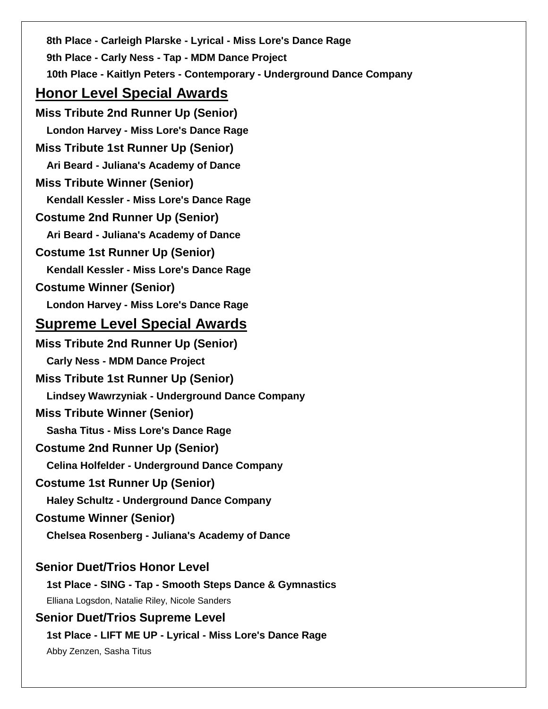**8th Place - Carleigh Plarske - Lyrical - Miss Lore's Dance Rage 9th Place - Carly Ness - Tap - MDM Dance Project 10th Place - Kaitlyn Peters - Contemporary - Underground Dance Company Honor Level Special Awards Miss Tribute 2nd Runner Up (Senior) London Harvey - Miss Lore's Dance Rage Miss Tribute 1st Runner Up (Senior) Ari Beard - Juliana's Academy of Dance Miss Tribute Winner (Senior) Kendall Kessler - Miss Lore's Dance Rage Costume 2nd Runner Up (Senior) Ari Beard - Juliana's Academy of Dance Costume 1st Runner Up (Senior) Kendall Kessler - Miss Lore's Dance Rage Costume Winner (Senior) London Harvey - Miss Lore's Dance Rage Supreme Level Special Awards Miss Tribute 2nd Runner Up (Senior) Carly Ness - MDM Dance Project Miss Tribute 1st Runner Up (Senior) Lindsey Wawrzyniak - Underground Dance Company Miss Tribute Winner (Senior) Sasha Titus - Miss Lore's Dance Rage Costume 2nd Runner Up (Senior) Celina Holfelder - Underground Dance Company Costume 1st Runner Up (Senior) Haley Schultz - Underground Dance Company Costume Winner (Senior) Chelsea Rosenberg - Juliana's Academy of Dance Senior Duet/Trios Honor Level 1st Place - SING - Tap - Smooth Steps Dance & Gymnastics** Elliana Logsdon, Natalie Riley, Nicole Sanders **Senior Duet/Trios Supreme Level 1st Place - LIFT ME UP - Lyrical - Miss Lore's Dance Rage**

Abby Zenzen, Sasha Titus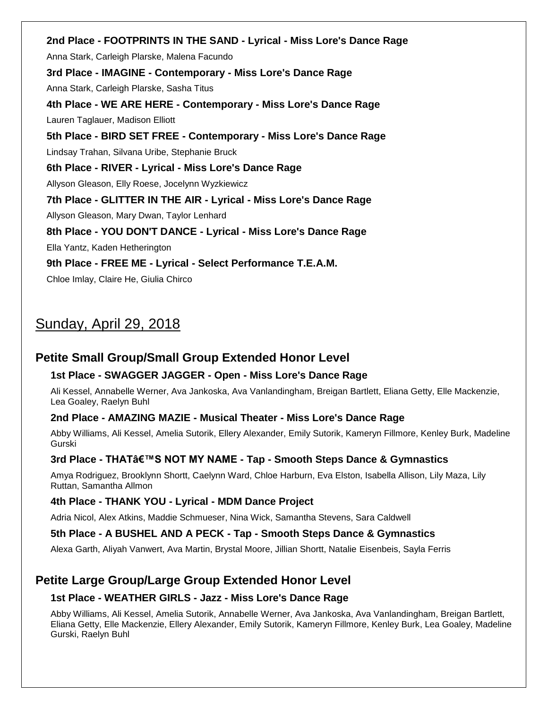**2nd Place - FOOTPRINTS IN THE SAND - Lyrical - Miss Lore's Dance Rage** Anna Stark, Carleigh Plarske, Malena Facundo **3rd Place - IMAGINE - Contemporary - Miss Lore's Dance Rage** Anna Stark, Carleigh Plarske, Sasha Titus **4th Place - WE ARE HERE - Contemporary - Miss Lore's Dance Rage** Lauren Taglauer, Madison Elliott **5th Place - BIRD SET FREE - Contemporary - Miss Lore's Dance Rage** Lindsay Trahan, Silvana Uribe, Stephanie Bruck **6th Place - RIVER - Lyrical - Miss Lore's Dance Rage** Allyson Gleason, Elly Roese, Jocelynn Wyzkiewicz **7th Place - GLITTER IN THE AIR - Lyrical - Miss Lore's Dance Rage** Allyson Gleason, Mary Dwan, Taylor Lenhard **8th Place - YOU DON'T DANCE - Lyrical - Miss Lore's Dance Rage** Ella Yantz, Kaden Hetherington **9th Place - FREE ME - Lyrical - Select Performance T.E.A.M.**

Chloe Imlay, Claire He, Giulia Chirco

# Sunday, April 29, 2018

## **Petite Small Group/Small Group Extended Honor Level**

#### **1st Place - SWAGGER JAGGER - Open - Miss Lore's Dance Rage**

Ali Kessel, Annabelle Werner, Ava Jankoska, Ava Vanlandingham, Breigan Bartlett, Eliana Getty, Elle Mackenzie, Lea Goaley, Raelyn Buhl

#### **2nd Place - AMAZING MAZIE - Musical Theater - Miss Lore's Dance Rage**

Abby Williams, Ali Kessel, Amelia Sutorik, Ellery Alexander, Emily Sutorik, Kameryn Fillmore, Kenley Burk, Madeline Gurski

## **3rd Place - THAT'S NOT MY NAME - Tap - Smooth Steps Dance & Gymnastics**

Amya Rodriguez, Brooklynn Shortt, Caelynn Ward, Chloe Harburn, Eva Elston, Isabella Allison, Lily Maza, Lily Ruttan, Samantha Allmon

## **4th Place - THANK YOU - Lyrical - MDM Dance Project**

Adria Nicol, Alex Atkins, Maddie Schmueser, Nina Wick, Samantha Stevens, Sara Caldwell

## **5th Place - A BUSHEL AND A PECK - Tap - Smooth Steps Dance & Gymnastics**

Alexa Garth, Aliyah Vanwert, Ava Martin, Brystal Moore, Jillian Shortt, Natalie Eisenbeis, Sayla Ferris

# **Petite Large Group/Large Group Extended Honor Level**

## **1st Place - WEATHER GIRLS - Jazz - Miss Lore's Dance Rage**

Abby Williams, Ali Kessel, Amelia Sutorik, Annabelle Werner, Ava Jankoska, Ava Vanlandingham, Breigan Bartlett, Eliana Getty, Elle Mackenzie, Ellery Alexander, Emily Sutorik, Kameryn Fillmore, Kenley Burk, Lea Goaley, Madeline Gurski, Raelyn Buhl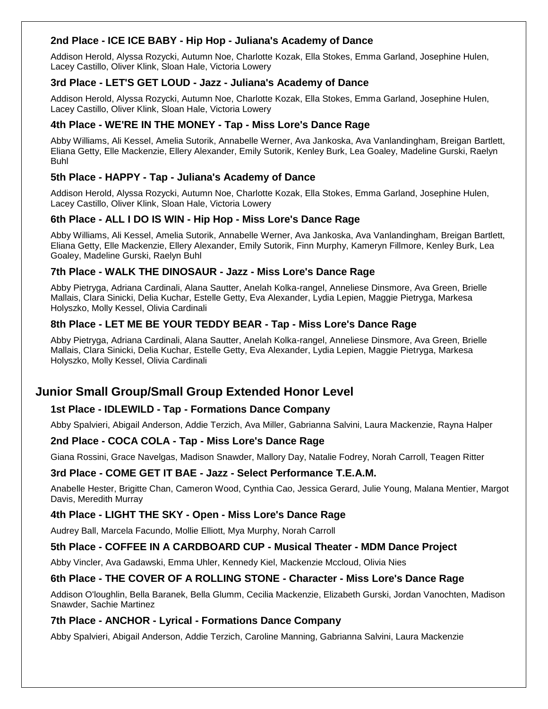#### **2nd Place - ICE ICE BABY - Hip Hop - Juliana's Academy of Dance**

Addison Herold, Alyssa Rozycki, Autumn Noe, Charlotte Kozak, Ella Stokes, Emma Garland, Josephine Hulen, Lacey Castillo, Oliver Klink, Sloan Hale, Victoria Lowery

#### **3rd Place - LET'S GET LOUD - Jazz - Juliana's Academy of Dance**

Addison Herold, Alyssa Rozycki, Autumn Noe, Charlotte Kozak, Ella Stokes, Emma Garland, Josephine Hulen, Lacey Castillo, Oliver Klink, Sloan Hale, Victoria Lowery

#### **4th Place - WE'RE IN THE MONEY - Tap - Miss Lore's Dance Rage**

Abby Williams, Ali Kessel, Amelia Sutorik, Annabelle Werner, Ava Jankoska, Ava Vanlandingham, Breigan Bartlett, Eliana Getty, Elle Mackenzie, Ellery Alexander, Emily Sutorik, Kenley Burk, Lea Goaley, Madeline Gurski, Raelyn Buhl

#### **5th Place - HAPPY - Tap - Juliana's Academy of Dance**

Addison Herold, Alyssa Rozycki, Autumn Noe, Charlotte Kozak, Ella Stokes, Emma Garland, Josephine Hulen, Lacey Castillo, Oliver Klink, Sloan Hale, Victoria Lowery

#### **6th Place - ALL I DO IS WIN - Hip Hop - Miss Lore's Dance Rage**

Abby Williams, Ali Kessel, Amelia Sutorik, Annabelle Werner, Ava Jankoska, Ava Vanlandingham, Breigan Bartlett, Eliana Getty, Elle Mackenzie, Ellery Alexander, Emily Sutorik, Finn Murphy, Kameryn Fillmore, Kenley Burk, Lea Goaley, Madeline Gurski, Raelyn Buhl

#### **7th Place - WALK THE DINOSAUR - Jazz - Miss Lore's Dance Rage**

Abby Pietryga, Adriana Cardinali, Alana Sautter, Anelah Kolka-rangel, Anneliese Dinsmore, Ava Green, Brielle Mallais, Clara Sinicki, Delia Kuchar, Estelle Getty, Eva Alexander, Lydia Lepien, Maggie Pietryga, Markesa Holyszko, Molly Kessel, Olivia Cardinali

#### **8th Place - LET ME BE YOUR TEDDY BEAR - Tap - Miss Lore's Dance Rage**

Abby Pietryga, Adriana Cardinali, Alana Sautter, Anelah Kolka-rangel, Anneliese Dinsmore, Ava Green, Brielle Mallais, Clara Sinicki, Delia Kuchar, Estelle Getty, Eva Alexander, Lydia Lepien, Maggie Pietryga, Markesa Holyszko, Molly Kessel, Olivia Cardinali

## **Junior Small Group/Small Group Extended Honor Level**

#### **1st Place - IDLEWILD - Tap - Formations Dance Company**

Abby Spalvieri, Abigail Anderson, Addie Terzich, Ava Miller, Gabrianna Salvini, Laura Mackenzie, Rayna Halper

#### **2nd Place - COCA COLA - Tap - Miss Lore's Dance Rage**

Giana Rossini, Grace Navelgas, Madison Snawder, Mallory Day, Natalie Fodrey, Norah Carroll, Teagen Ritter

#### **3rd Place - COME GET IT BAE - Jazz - Select Performance T.E.A.M.**

Anabelle Hester, Brigitte Chan, Cameron Wood, Cynthia Cao, Jessica Gerard, Julie Young, Malana Mentier, Margot Davis, Meredith Murray

#### **4th Place - LIGHT THE SKY - Open - Miss Lore's Dance Rage**

Audrey Ball, Marcela Facundo, Mollie Elliott, Mya Murphy, Norah Carroll

#### **5th Place - COFFEE IN A CARDBOARD CUP - Musical Theater - MDM Dance Project**

Abby Vincler, Ava Gadawski, Emma Uhler, Kennedy Kiel, Mackenzie Mccloud, Olivia Nies

#### **6th Place - THE COVER OF A ROLLING STONE - Character - Miss Lore's Dance Rage**

Addison O'loughlin, Bella Baranek, Bella Glumm, Cecilia Mackenzie, Elizabeth Gurski, Jordan Vanochten, Madison Snawder, Sachie Martinez

#### **7th Place - ANCHOR - Lyrical - Formations Dance Company**

Abby Spalvieri, Abigail Anderson, Addie Terzich, Caroline Manning, Gabrianna Salvini, Laura Mackenzie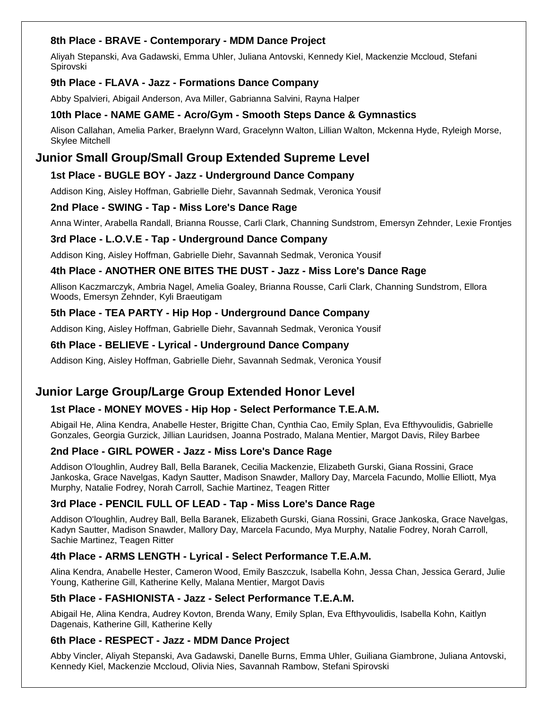#### **8th Place - BRAVE - Contemporary - MDM Dance Project**

Aliyah Stepanski, Ava Gadawski, Emma Uhler, Juliana Antovski, Kennedy Kiel, Mackenzie Mccloud, Stefani Spirovski

#### **9th Place - FLAVA - Jazz - Formations Dance Company**

Abby Spalvieri, Abigail Anderson, Ava Miller, Gabrianna Salvini, Rayna Halper

#### **10th Place - NAME GAME - Acro/Gym - Smooth Steps Dance & Gymnastics**

Alison Callahan, Amelia Parker, Braelynn Ward, Gracelynn Walton, Lillian Walton, Mckenna Hyde, Ryleigh Morse, Skylee Mitchell

## **Junior Small Group/Small Group Extended Supreme Level**

#### **1st Place - BUGLE BOY - Jazz - Underground Dance Company**

Addison King, Aisley Hoffman, Gabrielle Diehr, Savannah Sedmak, Veronica Yousif

#### **2nd Place - SWING - Tap - Miss Lore's Dance Rage**

Anna Winter, Arabella Randall, Brianna Rousse, Carli Clark, Channing Sundstrom, Emersyn Zehnder, Lexie Frontjes

#### **3rd Place - L.O.V.E - Tap - Underground Dance Company**

Addison King, Aisley Hoffman, Gabrielle Diehr, Savannah Sedmak, Veronica Yousif

#### **4th Place - ANOTHER ONE BITES THE DUST - Jazz - Miss Lore's Dance Rage**

Allison Kaczmarczyk, Ambria Nagel, Amelia Goaley, Brianna Rousse, Carli Clark, Channing Sundstrom, Ellora Woods, Emersyn Zehnder, Kyli Braeutigam

#### **5th Place - TEA PARTY - Hip Hop - Underground Dance Company**

Addison King, Aisley Hoffman, Gabrielle Diehr, Savannah Sedmak, Veronica Yousif

#### **6th Place - BELIEVE - Lyrical - Underground Dance Company**

Addison King, Aisley Hoffman, Gabrielle Diehr, Savannah Sedmak, Veronica Yousif

## **Junior Large Group/Large Group Extended Honor Level**

#### **1st Place - MONEY MOVES - Hip Hop - Select Performance T.E.A.M.**

Abigail He, Alina Kendra, Anabelle Hester, Brigitte Chan, Cynthia Cao, Emily Splan, Eva Efthyvoulidis, Gabrielle Gonzales, Georgia Gurzick, Jillian Lauridsen, Joanna Postrado, Malana Mentier, Margot Davis, Riley Barbee

#### **2nd Place - GIRL POWER - Jazz - Miss Lore's Dance Rage**

Addison O'loughlin, Audrey Ball, Bella Baranek, Cecilia Mackenzie, Elizabeth Gurski, Giana Rossini, Grace Jankoska, Grace Navelgas, Kadyn Sautter, Madison Snawder, Mallory Day, Marcela Facundo, Mollie Elliott, Mya Murphy, Natalie Fodrey, Norah Carroll, Sachie Martinez, Teagen Ritter

#### **3rd Place - PENCIL FULL OF LEAD - Tap - Miss Lore's Dance Rage**

Addison O'loughlin, Audrey Ball, Bella Baranek, Elizabeth Gurski, Giana Rossini, Grace Jankoska, Grace Navelgas, Kadyn Sautter, Madison Snawder, Mallory Day, Marcela Facundo, Mya Murphy, Natalie Fodrey, Norah Carroll, Sachie Martinez, Teagen Ritter

#### **4th Place - ARMS LENGTH - Lyrical - Select Performance T.E.A.M.**

Alina Kendra, Anabelle Hester, Cameron Wood, Emily Baszczuk, Isabella Kohn, Jessa Chan, Jessica Gerard, Julie Young, Katherine Gill, Katherine Kelly, Malana Mentier, Margot Davis

#### **5th Place - FASHIONISTA - Jazz - Select Performance T.E.A.M.**

Abigail He, Alina Kendra, Audrey Kovton, Brenda Wany, Emily Splan, Eva Efthyvoulidis, Isabella Kohn, Kaitlyn Dagenais, Katherine Gill, Katherine Kelly

#### **6th Place - RESPECT - Jazz - MDM Dance Project**

Abby Vincler, Aliyah Stepanski, Ava Gadawski, Danelle Burns, Emma Uhler, Guiliana Giambrone, Juliana Antovski, Kennedy Kiel, Mackenzie Mccloud, Olivia Nies, Savannah Rambow, Stefani Spirovski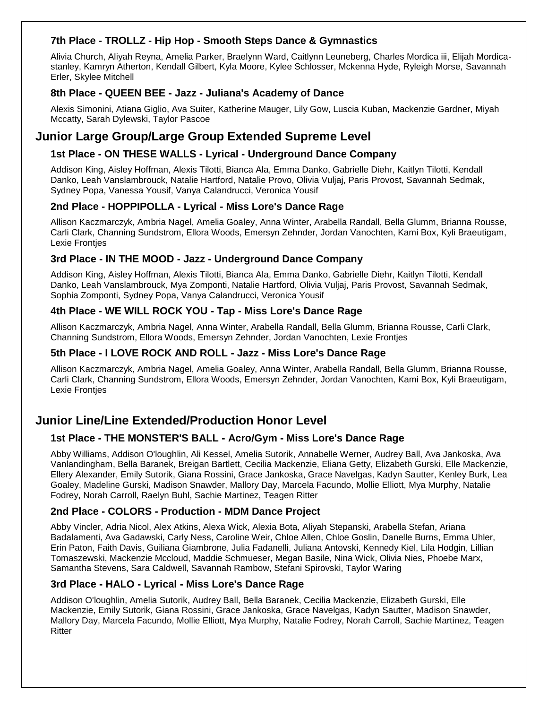#### **7th Place - TROLLZ - Hip Hop - Smooth Steps Dance & Gymnastics**

Alivia Church, Aliyah Reyna, Amelia Parker, Braelynn Ward, Caitlynn Leuneberg, Charles Mordica iii, Elijah Mordicastanley, Kamryn Atherton, Kendall Gilbert, Kyla Moore, Kylee Schlosser, Mckenna Hyde, Ryleigh Morse, Savannah Erler, Skylee Mitchell

#### **8th Place - QUEEN BEE - Jazz - Juliana's Academy of Dance**

Alexis Simonini, Atiana Giglio, Ava Suiter, Katherine Mauger, Lily Gow, Luscia Kuban, Mackenzie Gardner, Miyah Mccatty, Sarah Dylewski, Taylor Pascoe

## **Junior Large Group/Large Group Extended Supreme Level**

#### **1st Place - ON THESE WALLS - Lyrical - Underground Dance Company**

Addison King, Aisley Hoffman, Alexis Tilotti, Bianca Ala, Emma Danko, Gabrielle Diehr, Kaitlyn Tilotti, Kendall Danko, Leah Vanslambrouck, Natalie Hartford, Natalie Provo, Olivia Vuljaj, Paris Provost, Savannah Sedmak, Sydney Popa, Vanessa Yousif, Vanya Calandrucci, Veronica Yousif

#### **2nd Place - HOPPIPOLLA - Lyrical - Miss Lore's Dance Rage**

Allison Kaczmarczyk, Ambria Nagel, Amelia Goaley, Anna Winter, Arabella Randall, Bella Glumm, Brianna Rousse, Carli Clark, Channing Sundstrom, Ellora Woods, Emersyn Zehnder, Jordan Vanochten, Kami Box, Kyli Braeutigam, Lexie Frontjes

#### **3rd Place - IN THE MOOD - Jazz - Underground Dance Company**

Addison King, Aisley Hoffman, Alexis Tilotti, Bianca Ala, Emma Danko, Gabrielle Diehr, Kaitlyn Tilotti, Kendall Danko, Leah Vanslambrouck, Mya Zomponti, Natalie Hartford, Olivia Vuljaj, Paris Provost, Savannah Sedmak, Sophia Zomponti, Sydney Popa, Vanya Calandrucci, Veronica Yousif

#### **4th Place - WE WILL ROCK YOU - Tap - Miss Lore's Dance Rage**

Allison Kaczmarczyk, Ambria Nagel, Anna Winter, Arabella Randall, Bella Glumm, Brianna Rousse, Carli Clark, Channing Sundstrom, Ellora Woods, Emersyn Zehnder, Jordan Vanochten, Lexie Frontjes

#### **5th Place - I LOVE ROCK AND ROLL - Jazz - Miss Lore's Dance Rage**

Allison Kaczmarczyk, Ambria Nagel, Amelia Goaley, Anna Winter, Arabella Randall, Bella Glumm, Brianna Rousse, Carli Clark, Channing Sundstrom, Ellora Woods, Emersyn Zehnder, Jordan Vanochten, Kami Box, Kyli Braeutigam, Lexie Frontjes

## **Junior Line/Line Extended/Production Honor Level**

#### **1st Place - THE MONSTER'S BALL - Acro/Gym - Miss Lore's Dance Rage**

Abby Williams, Addison O'loughlin, Ali Kessel, Amelia Sutorik, Annabelle Werner, Audrey Ball, Ava Jankoska, Ava Vanlandingham, Bella Baranek, Breigan Bartlett, Cecilia Mackenzie, Eliana Getty, Elizabeth Gurski, Elle Mackenzie, Ellery Alexander, Emily Sutorik, Giana Rossini, Grace Jankoska, Grace Navelgas, Kadyn Sautter, Kenley Burk, Lea Goaley, Madeline Gurski, Madison Snawder, Mallory Day, Marcela Facundo, Mollie Elliott, Mya Murphy, Natalie Fodrey, Norah Carroll, Raelyn Buhl, Sachie Martinez, Teagen Ritter

#### **2nd Place - COLORS - Production - MDM Dance Project**

Abby Vincler, Adria Nicol, Alex Atkins, Alexa Wick, Alexia Bota, Aliyah Stepanski, Arabella Stefan, Ariana Badalamenti, Ava Gadawski, Carly Ness, Caroline Weir, Chloe Allen, Chloe Goslin, Danelle Burns, Emma Uhler, Erin Paton, Faith Davis, Guiliana Giambrone, Julia Fadanelli, Juliana Antovski, Kennedy Kiel, Lila Hodgin, Lillian Tomaszewski, Mackenzie Mccloud, Maddie Schmueser, Megan Basile, Nina Wick, Olivia Nies, Phoebe Marx, Samantha Stevens, Sara Caldwell, Savannah Rambow, Stefani Spirovski, Taylor Waring

#### **3rd Place - HALO - Lyrical - Miss Lore's Dance Rage**

Addison O'loughlin, Amelia Sutorik, Audrey Ball, Bella Baranek, Cecilia Mackenzie, Elizabeth Gurski, Elle Mackenzie, Emily Sutorik, Giana Rossini, Grace Jankoska, Grace Navelgas, Kadyn Sautter, Madison Snawder, Mallory Day, Marcela Facundo, Mollie Elliott, Mya Murphy, Natalie Fodrey, Norah Carroll, Sachie Martinez, Teagen Ritter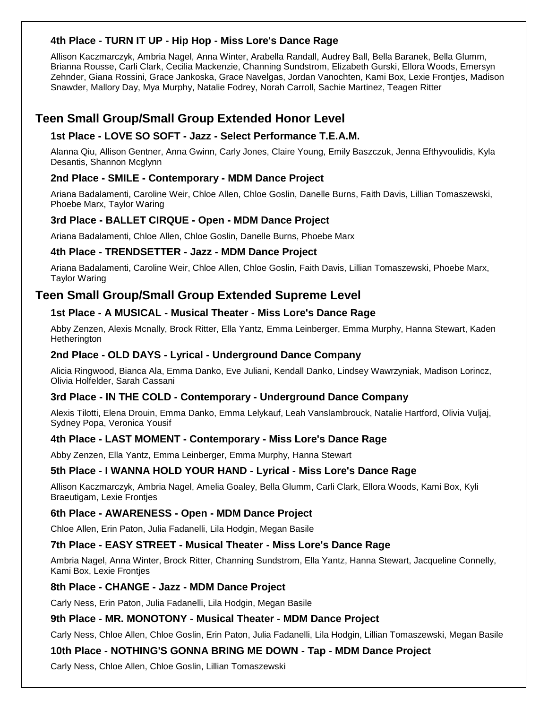#### **4th Place - TURN IT UP - Hip Hop - Miss Lore's Dance Rage**

Allison Kaczmarczyk, Ambria Nagel, Anna Winter, Arabella Randall, Audrey Ball, Bella Baranek, Bella Glumm, Brianna Rousse, Carli Clark, Cecilia Mackenzie, Channing Sundstrom, Elizabeth Gurski, Ellora Woods, Emersyn Zehnder, Giana Rossini, Grace Jankoska, Grace Navelgas, Jordan Vanochten, Kami Box, Lexie Frontjes, Madison Snawder, Mallory Day, Mya Murphy, Natalie Fodrey, Norah Carroll, Sachie Martinez, Teagen Ritter

## **Teen Small Group/Small Group Extended Honor Level**

#### **1st Place - LOVE SO SOFT - Jazz - Select Performance T.E.A.M.**

Alanna Qiu, Allison Gentner, Anna Gwinn, Carly Jones, Claire Young, Emily Baszczuk, Jenna Efthyvoulidis, Kyla Desantis, Shannon Mcglynn

#### **2nd Place - SMILE - Contemporary - MDM Dance Project**

Ariana Badalamenti, Caroline Weir, Chloe Allen, Chloe Goslin, Danelle Burns, Faith Davis, Lillian Tomaszewski, Phoebe Marx, Taylor Waring

#### **3rd Place - BALLET CIRQUE - Open - MDM Dance Project**

Ariana Badalamenti, Chloe Allen, Chloe Goslin, Danelle Burns, Phoebe Marx

#### **4th Place - TRENDSETTER - Jazz - MDM Dance Project**

Ariana Badalamenti, Caroline Weir, Chloe Allen, Chloe Goslin, Faith Davis, Lillian Tomaszewski, Phoebe Marx, Taylor Waring

## **Teen Small Group/Small Group Extended Supreme Level**

#### **1st Place - A MUSICAL - Musical Theater - Miss Lore's Dance Rage**

Abby Zenzen, Alexis Mcnally, Brock Ritter, Ella Yantz, Emma Leinberger, Emma Murphy, Hanna Stewart, Kaden **Hetherington** 

#### **2nd Place - OLD DAYS - Lyrical - Underground Dance Company**

Alicia Ringwood, Bianca Ala, Emma Danko, Eve Juliani, Kendall Danko, Lindsey Wawrzyniak, Madison Lorincz, Olivia Holfelder, Sarah Cassani

#### **3rd Place - IN THE COLD - Contemporary - Underground Dance Company**

Alexis Tilotti, Elena Drouin, Emma Danko, Emma Lelykauf, Leah Vanslambrouck, Natalie Hartford, Olivia Vuljaj, Sydney Popa, Veronica Yousif

#### **4th Place - LAST MOMENT - Contemporary - Miss Lore's Dance Rage**

Abby Zenzen, Ella Yantz, Emma Leinberger, Emma Murphy, Hanna Stewart

#### **5th Place - I WANNA HOLD YOUR HAND - Lyrical - Miss Lore's Dance Rage**

Allison Kaczmarczyk, Ambria Nagel, Amelia Goaley, Bella Glumm, Carli Clark, Ellora Woods, Kami Box, Kyli Braeutigam, Lexie Frontjes

#### **6th Place - AWARENESS - Open - MDM Dance Project**

Chloe Allen, Erin Paton, Julia Fadanelli, Lila Hodgin, Megan Basile

#### **7th Place - EASY STREET - Musical Theater - Miss Lore's Dance Rage**

Ambria Nagel, Anna Winter, Brock Ritter, Channing Sundstrom, Ella Yantz, Hanna Stewart, Jacqueline Connelly, Kami Box, Lexie Frontjes

#### **8th Place - CHANGE - Jazz - MDM Dance Project**

Carly Ness, Erin Paton, Julia Fadanelli, Lila Hodgin, Megan Basile

#### **9th Place - MR. MONOTONY - Musical Theater - MDM Dance Project**

Carly Ness, Chloe Allen, Chloe Goslin, Erin Paton, Julia Fadanelli, Lila Hodgin, Lillian Tomaszewski, Megan Basile

#### **10th Place - NOTHING'S GONNA BRING ME DOWN - Tap - MDM Dance Project**

Carly Ness, Chloe Allen, Chloe Goslin, Lillian Tomaszewski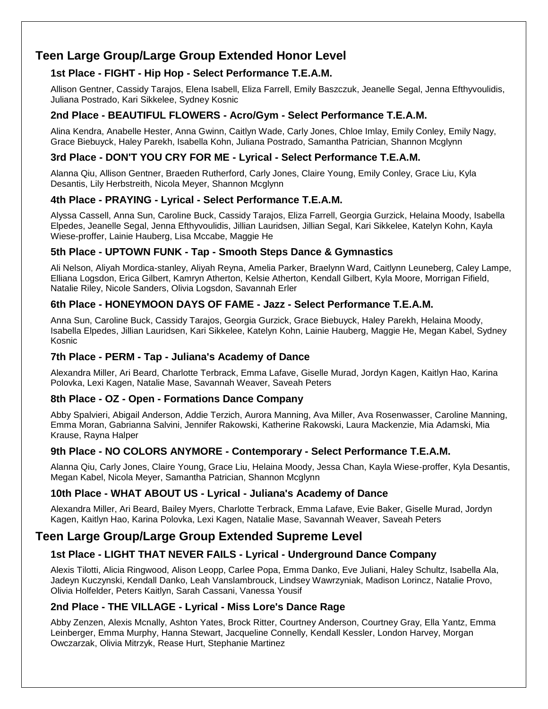## **Teen Large Group/Large Group Extended Honor Level**

#### **1st Place - FIGHT - Hip Hop - Select Performance T.E.A.M.**

Allison Gentner, Cassidy Tarajos, Elena Isabell, Eliza Farrell, Emily Baszczuk, Jeanelle Segal, Jenna Efthyvoulidis, Juliana Postrado, Kari Sikkelee, Sydney Kosnic

#### **2nd Place - BEAUTIFUL FLOWERS - Acro/Gym - Select Performance T.E.A.M.**

Alina Kendra, Anabelle Hester, Anna Gwinn, Caitlyn Wade, Carly Jones, Chloe Imlay, Emily Conley, Emily Nagy, Grace Biebuyck, Haley Parekh, Isabella Kohn, Juliana Postrado, Samantha Patrician, Shannon Mcglynn

#### **3rd Place - DON'T YOU CRY FOR ME - Lyrical - Select Performance T.E.A.M.**

Alanna Qiu, Allison Gentner, Braeden Rutherford, Carly Jones, Claire Young, Emily Conley, Grace Liu, Kyla Desantis, Lily Herbstreith, Nicola Meyer, Shannon Mcglynn

#### **4th Place - PRAYING - Lyrical - Select Performance T.E.A.M.**

Alyssa Cassell, Anna Sun, Caroline Buck, Cassidy Tarajos, Eliza Farrell, Georgia Gurzick, Helaina Moody, Isabella Elpedes, Jeanelle Segal, Jenna Efthyvoulidis, Jillian Lauridsen, Jillian Segal, Kari Sikkelee, Katelyn Kohn, Kayla Wiese-proffer, Lainie Hauberg, Lisa Mccabe, Maggie He

#### **5th Place - UPTOWN FUNK - Tap - Smooth Steps Dance & Gymnastics**

Ali Nelson, Aliyah Mordica-stanley, Aliyah Reyna, Amelia Parker, Braelynn Ward, Caitlynn Leuneberg, Caley Lampe, Elliana Logsdon, Erica Gilbert, Kamryn Atherton, Kelsie Atherton, Kendall Gilbert, Kyla Moore, Morrigan Fifield, Natalie Riley, Nicole Sanders, Olivia Logsdon, Savannah Erler

#### **6th Place - HONEYMOON DAYS OF FAME - Jazz - Select Performance T.E.A.M.**

Anna Sun, Caroline Buck, Cassidy Tarajos, Georgia Gurzick, Grace Biebuyck, Haley Parekh, Helaina Moody, Isabella Elpedes, Jillian Lauridsen, Kari Sikkelee, Katelyn Kohn, Lainie Hauberg, Maggie He, Megan Kabel, Sydney Kosnic

#### **7th Place - PERM - Tap - Juliana's Academy of Dance**

Alexandra Miller, Ari Beard, Charlotte Terbrack, Emma Lafave, Giselle Murad, Jordyn Kagen, Kaitlyn Hao, Karina Polovka, Lexi Kagen, Natalie Mase, Savannah Weaver, Saveah Peters

#### **8th Place - OZ - Open - Formations Dance Company**

Abby Spalvieri, Abigail Anderson, Addie Terzich, Aurora Manning, Ava Miller, Ava Rosenwasser, Caroline Manning, Emma Moran, Gabrianna Salvini, Jennifer Rakowski, Katherine Rakowski, Laura Mackenzie, Mia Adamski, Mia Krause, Rayna Halper

#### **9th Place - NO COLORS ANYMORE - Contemporary - Select Performance T.E.A.M.**

Alanna Qiu, Carly Jones, Claire Young, Grace Liu, Helaina Moody, Jessa Chan, Kayla Wiese-proffer, Kyla Desantis, Megan Kabel, Nicola Meyer, Samantha Patrician, Shannon Mcglynn

#### **10th Place - WHAT ABOUT US - Lyrical - Juliana's Academy of Dance**

Alexandra Miller, Ari Beard, Bailey Myers, Charlotte Terbrack, Emma Lafave, Evie Baker, Giselle Murad, Jordyn Kagen, Kaitlyn Hao, Karina Polovka, Lexi Kagen, Natalie Mase, Savannah Weaver, Saveah Peters

## **Teen Large Group/Large Group Extended Supreme Level**

#### **1st Place - LIGHT THAT NEVER FAILS - Lyrical - Underground Dance Company**

Alexis Tilotti, Alicia Ringwood, Alison Leopp, Carlee Popa, Emma Danko, Eve Juliani, Haley Schultz, Isabella Ala, Jadeyn Kuczynski, Kendall Danko, Leah Vanslambrouck, Lindsey Wawrzyniak, Madison Lorincz, Natalie Provo, Olivia Holfelder, Peters Kaitlyn, Sarah Cassani, Vanessa Yousif

#### **2nd Place - THE VILLAGE - Lyrical - Miss Lore's Dance Rage**

Abby Zenzen, Alexis Mcnally, Ashton Yates, Brock Ritter, Courtney Anderson, Courtney Gray, Ella Yantz, Emma Leinberger, Emma Murphy, Hanna Stewart, Jacqueline Connelly, Kendall Kessler, London Harvey, Morgan Owczarzak, Olivia Mitrzyk, Rease Hurt, Stephanie Martinez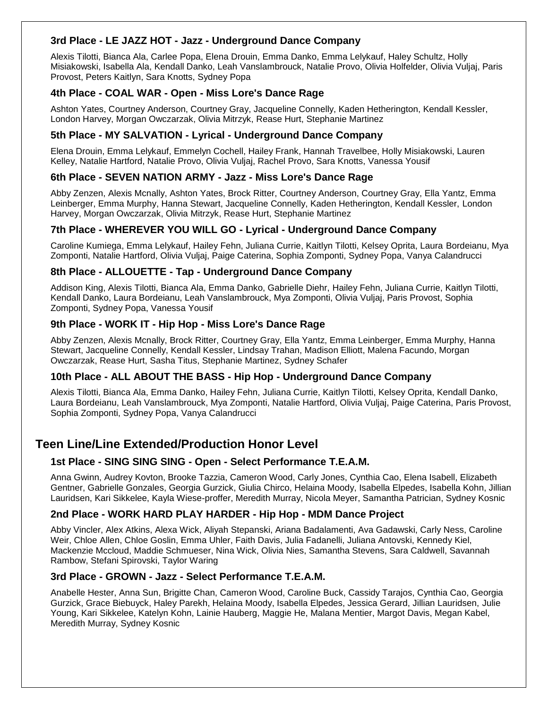#### **3rd Place - LE JAZZ HOT - Jazz - Underground Dance Company**

Alexis Tilotti, Bianca Ala, Carlee Popa, Elena Drouin, Emma Danko, Emma Lelykauf, Haley Schultz, Holly Misiakowski, Isabella Ala, Kendall Danko, Leah Vanslambrouck, Natalie Provo, Olivia Holfelder, Olivia Vuljaj, Paris Provost, Peters Kaitlyn, Sara Knotts, Sydney Popa

#### **4th Place - COAL WAR - Open - Miss Lore's Dance Rage**

Ashton Yates, Courtney Anderson, Courtney Gray, Jacqueline Connelly, Kaden Hetherington, Kendall Kessler, London Harvey, Morgan Owczarzak, Olivia Mitrzyk, Rease Hurt, Stephanie Martinez

#### **5th Place - MY SALVATION - Lyrical - Underground Dance Company**

Elena Drouin, Emma Lelykauf, Emmelyn Cochell, Hailey Frank, Hannah Travelbee, Holly Misiakowski, Lauren Kelley, Natalie Hartford, Natalie Provo, Olivia Vuljaj, Rachel Provo, Sara Knotts, Vanessa Yousif

#### **6th Place - SEVEN NATION ARMY - Jazz - Miss Lore's Dance Rage**

Abby Zenzen, Alexis Mcnally, Ashton Yates, Brock Ritter, Courtney Anderson, Courtney Gray, Ella Yantz, Emma Leinberger, Emma Murphy, Hanna Stewart, Jacqueline Connelly, Kaden Hetherington, Kendall Kessler, London Harvey, Morgan Owczarzak, Olivia Mitrzyk, Rease Hurt, Stephanie Martinez

#### **7th Place - WHEREVER YOU WILL GO - Lyrical - Underground Dance Company**

Caroline Kumiega, Emma Lelykauf, Hailey Fehn, Juliana Currie, Kaitlyn Tilotti, Kelsey Oprita, Laura Bordeianu, Mya Zomponti, Natalie Hartford, Olivia Vuljaj, Paige Caterina, Sophia Zomponti, Sydney Popa, Vanya Calandrucci

#### **8th Place - ALLOUETTE - Tap - Underground Dance Company**

Addison King, Alexis Tilotti, Bianca Ala, Emma Danko, Gabrielle Diehr, Hailey Fehn, Juliana Currie, Kaitlyn Tilotti, Kendall Danko, Laura Bordeianu, Leah Vanslambrouck, Mya Zomponti, Olivia Vuljaj, Paris Provost, Sophia Zomponti, Sydney Popa, Vanessa Yousif

#### **9th Place - WORK IT - Hip Hop - Miss Lore's Dance Rage**

Abby Zenzen, Alexis Mcnally, Brock Ritter, Courtney Gray, Ella Yantz, Emma Leinberger, Emma Murphy, Hanna Stewart, Jacqueline Connelly, Kendall Kessler, Lindsay Trahan, Madison Elliott, Malena Facundo, Morgan Owczarzak, Rease Hurt, Sasha Titus, Stephanie Martinez, Sydney Schafer

#### **10th Place - ALL ABOUT THE BASS - Hip Hop - Underground Dance Company**

Alexis Tilotti, Bianca Ala, Emma Danko, Hailey Fehn, Juliana Currie, Kaitlyn Tilotti, Kelsey Oprita, Kendall Danko, Laura Bordeianu, Leah Vanslambrouck, Mya Zomponti, Natalie Hartford, Olivia Vuljaj, Paige Caterina, Paris Provost, Sophia Zomponti, Sydney Popa, Vanya Calandrucci

## **Teen Line/Line Extended/Production Honor Level**

#### **1st Place - SING SING SING - Open - Select Performance T.E.A.M.**

Anna Gwinn, Audrey Kovton, Brooke Tazzia, Cameron Wood, Carly Jones, Cynthia Cao, Elena Isabell, Elizabeth Gentner, Gabrielle Gonzales, Georgia Gurzick, Giulia Chirco, Helaina Moody, Isabella Elpedes, Isabella Kohn, Jillian Lauridsen, Kari Sikkelee, Kayla Wiese-proffer, Meredith Murray, Nicola Meyer, Samantha Patrician, Sydney Kosnic

#### **2nd Place - WORK HARD PLAY HARDER - Hip Hop - MDM Dance Project**

Abby Vincler, Alex Atkins, Alexa Wick, Aliyah Stepanski, Ariana Badalamenti, Ava Gadawski, Carly Ness, Caroline Weir, Chloe Allen, Chloe Goslin, Emma Uhler, Faith Davis, Julia Fadanelli, Juliana Antovski, Kennedy Kiel, Mackenzie Mccloud, Maddie Schmueser, Nina Wick, Olivia Nies, Samantha Stevens, Sara Caldwell, Savannah Rambow, Stefani Spirovski, Taylor Waring

#### **3rd Place - GROWN - Jazz - Select Performance T.E.A.M.**

Anabelle Hester, Anna Sun, Brigitte Chan, Cameron Wood, Caroline Buck, Cassidy Tarajos, Cynthia Cao, Georgia Gurzick, Grace Biebuyck, Haley Parekh, Helaina Moody, Isabella Elpedes, Jessica Gerard, Jillian Lauridsen, Julie Young, Kari Sikkelee, Katelyn Kohn, Lainie Hauberg, Maggie He, Malana Mentier, Margot Davis, Megan Kabel, Meredith Murray, Sydney Kosnic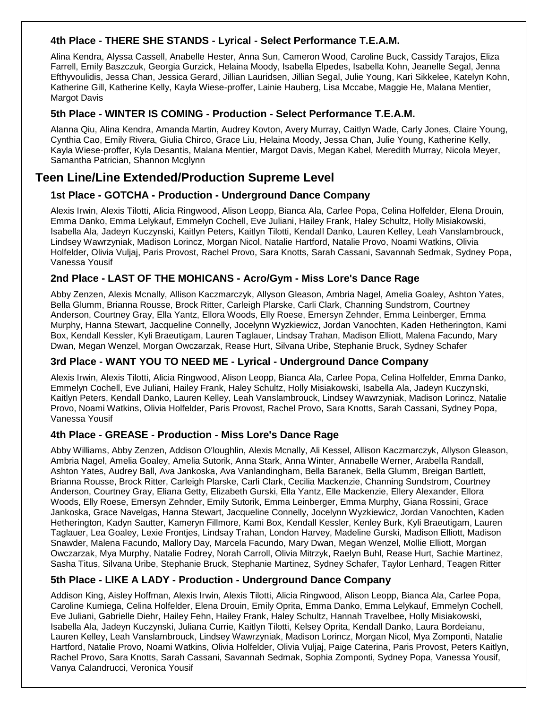#### **4th Place - THERE SHE STANDS - Lyrical - Select Performance T.E.A.M.**

Alina Kendra, Alyssa Cassell, Anabelle Hester, Anna Sun, Cameron Wood, Caroline Buck, Cassidy Tarajos, Eliza Farrell, Emily Baszczuk, Georgia Gurzick, Helaina Moody, Isabella Elpedes, Isabella Kohn, Jeanelle Segal, Jenna Efthyvoulidis, Jessa Chan, Jessica Gerard, Jillian Lauridsen, Jillian Segal, Julie Young, Kari Sikkelee, Katelyn Kohn, Katherine Gill, Katherine Kelly, Kayla Wiese-proffer, Lainie Hauberg, Lisa Mccabe, Maggie He, Malana Mentier, Margot Davis

#### **5th Place - WINTER IS COMING - Production - Select Performance T.E.A.M.**

Alanna Qiu, Alina Kendra, Amanda Martin, Audrey Kovton, Avery Murray, Caitlyn Wade, Carly Jones, Claire Young, Cynthia Cao, Emily Rivera, Giulia Chirco, Grace Liu, Helaina Moody, Jessa Chan, Julie Young, Katherine Kelly, Kayla Wiese-proffer, Kyla Desantis, Malana Mentier, Margot Davis, Megan Kabel, Meredith Murray, Nicola Meyer, Samantha Patrician, Shannon Mcglynn

## **Teen Line/Line Extended/Production Supreme Level**

#### **1st Place - GOTCHA - Production - Underground Dance Company**

Alexis Irwin, Alexis Tilotti, Alicia Ringwood, Alison Leopp, Bianca Ala, Carlee Popa, Celina Holfelder, Elena Drouin, Emma Danko, Emma Lelykauf, Emmelyn Cochell, Eve Juliani, Hailey Frank, Haley Schultz, Holly Misiakowski, Isabella Ala, Jadeyn Kuczynski, Kaitlyn Peters, Kaitlyn Tilotti, Kendall Danko, Lauren Kelley, Leah Vanslambrouck, Lindsey Wawrzyniak, Madison Lorincz, Morgan Nicol, Natalie Hartford, Natalie Provo, Noami Watkins, Olivia Holfelder, Olivia Vuljaj, Paris Provost, Rachel Provo, Sara Knotts, Sarah Cassani, Savannah Sedmak, Sydney Popa, Vanessa Yousif

#### **2nd Place - LAST OF THE MOHICANS - Acro/Gym - Miss Lore's Dance Rage**

Abby Zenzen, Alexis Mcnally, Allison Kaczmarczyk, Allyson Gleason, Ambria Nagel, Amelia Goaley, Ashton Yates, Bella Glumm, Brianna Rousse, Brock Ritter, Carleigh Plarske, Carli Clark, Channing Sundstrom, Courtney Anderson, Courtney Gray, Ella Yantz, Ellora Woods, Elly Roese, Emersyn Zehnder, Emma Leinberger, Emma Murphy, Hanna Stewart, Jacqueline Connelly, Jocelynn Wyzkiewicz, Jordan Vanochten, Kaden Hetherington, Kami Box, Kendall Kessler, Kyli Braeutigam, Lauren Taglauer, Lindsay Trahan, Madison Elliott, Malena Facundo, Mary Dwan, Megan Wenzel, Morgan Owczarzak, Rease Hurt, Silvana Uribe, Stephanie Bruck, Sydney Schafer

#### **3rd Place - WANT YOU TO NEED ME - Lyrical - Underground Dance Company**

Alexis Irwin, Alexis Tilotti, Alicia Ringwood, Alison Leopp, Bianca Ala, Carlee Popa, Celina Holfelder, Emma Danko, Emmelyn Cochell, Eve Juliani, Hailey Frank, Haley Schultz, Holly Misiakowski, Isabella Ala, Jadeyn Kuczynski, Kaitlyn Peters, Kendall Danko, Lauren Kelley, Leah Vanslambrouck, Lindsey Wawrzyniak, Madison Lorincz, Natalie Provo, Noami Watkins, Olivia Holfelder, Paris Provost, Rachel Provo, Sara Knotts, Sarah Cassani, Sydney Popa, Vanessa Yousif

#### **4th Place - GREASE - Production - Miss Lore's Dance Rage**

Abby Williams, Abby Zenzen, Addison O'loughlin, Alexis Mcnally, Ali Kessel, Allison Kaczmarczyk, Allyson Gleason, Ambria Nagel, Amelia Goaley, Amelia Sutorik, Anna Stark, Anna Winter, Annabelle Werner, Arabella Randall, Ashton Yates, Audrey Ball, Ava Jankoska, Ava Vanlandingham, Bella Baranek, Bella Glumm, Breigan Bartlett, Brianna Rousse, Brock Ritter, Carleigh Plarske, Carli Clark, Cecilia Mackenzie, Channing Sundstrom, Courtney Anderson, Courtney Gray, Eliana Getty, Elizabeth Gurski, Ella Yantz, Elle Mackenzie, Ellery Alexander, Ellora Woods, Elly Roese, Emersyn Zehnder, Emily Sutorik, Emma Leinberger, Emma Murphy, Giana Rossini, Grace Jankoska, Grace Navelgas, Hanna Stewart, Jacqueline Connelly, Jocelynn Wyzkiewicz, Jordan Vanochten, Kaden Hetherington, Kadyn Sautter, Kameryn Fillmore, Kami Box, Kendall Kessler, Kenley Burk, Kyli Braeutigam, Lauren Taglauer, Lea Goaley, Lexie Frontjes, Lindsay Trahan, London Harvey, Madeline Gurski, Madison Elliott, Madison Snawder, Malena Facundo, Mallory Day, Marcela Facundo, Mary Dwan, Megan Wenzel, Mollie Elliott, Morgan Owczarzak, Mya Murphy, Natalie Fodrey, Norah Carroll, Olivia Mitrzyk, Raelyn Buhl, Rease Hurt, Sachie Martinez, Sasha Titus, Silvana Uribe, Stephanie Bruck, Stephanie Martinez, Sydney Schafer, Taylor Lenhard, Teagen Ritter

#### **5th Place - LIKE A LADY - Production - Underground Dance Company**

Addison King, Aisley Hoffman, Alexis Irwin, Alexis Tilotti, Alicia Ringwood, Alison Leopp, Bianca Ala, Carlee Popa, Caroline Kumiega, Celina Holfelder, Elena Drouin, Emily Oprita, Emma Danko, Emma Lelykauf, Emmelyn Cochell, Eve Juliani, Gabrielle Diehr, Hailey Fehn, Hailey Frank, Haley Schultz, Hannah Travelbee, Holly Misiakowski, Isabella Ala, Jadeyn Kuczynski, Juliana Currie, Kaitlyn Tilotti, Kelsey Oprita, Kendall Danko, Laura Bordeianu, Lauren Kelley, Leah Vanslambrouck, Lindsey Wawrzyniak, Madison Lorincz, Morgan Nicol, Mya Zomponti, Natalie Hartford, Natalie Provo, Noami Watkins, Olivia Holfelder, Olivia Vuljaj, Paige Caterina, Paris Provost, Peters Kaitlyn, Rachel Provo, Sara Knotts, Sarah Cassani, Savannah Sedmak, Sophia Zomponti, Sydney Popa, Vanessa Yousif, Vanya Calandrucci, Veronica Yousif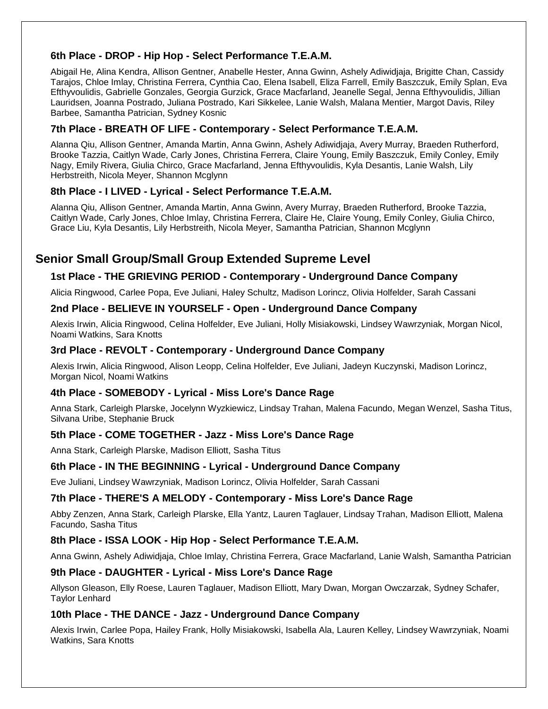#### **6th Place - DROP - Hip Hop - Select Performance T.E.A.M.**

Abigail He, Alina Kendra, Allison Gentner, Anabelle Hester, Anna Gwinn, Ashely Adiwidjaja, Brigitte Chan, Cassidy Tarajos, Chloe Imlay, Christina Ferrera, Cynthia Cao, Elena Isabell, Eliza Farrell, Emily Baszczuk, Emily Splan, Eva Efthyvoulidis, Gabrielle Gonzales, Georgia Gurzick, Grace Macfarland, Jeanelle Segal, Jenna Efthyvoulidis, Jillian Lauridsen, Joanna Postrado, Juliana Postrado, Kari Sikkelee, Lanie Walsh, Malana Mentier, Margot Davis, Riley Barbee, Samantha Patrician, Sydney Kosnic

#### **7th Place - BREATH OF LIFE - Contemporary - Select Performance T.E.A.M.**

Alanna Qiu, Allison Gentner, Amanda Martin, Anna Gwinn, Ashely Adiwidjaja, Avery Murray, Braeden Rutherford, Brooke Tazzia, Caitlyn Wade, Carly Jones, Christina Ferrera, Claire Young, Emily Baszczuk, Emily Conley, Emily Nagy, Emily Rivera, Giulia Chirco, Grace Macfarland, Jenna Efthyvoulidis, Kyla Desantis, Lanie Walsh, Lily Herbstreith, Nicola Meyer, Shannon Mcglynn

#### **8th Place - I LIVED - Lyrical - Select Performance T.E.A.M.**

Alanna Qiu, Allison Gentner, Amanda Martin, Anna Gwinn, Avery Murray, Braeden Rutherford, Brooke Tazzia, Caitlyn Wade, Carly Jones, Chloe Imlay, Christina Ferrera, Claire He, Claire Young, Emily Conley, Giulia Chirco, Grace Liu, Kyla Desantis, Lily Herbstreith, Nicola Meyer, Samantha Patrician, Shannon Mcglynn

## **Senior Small Group/Small Group Extended Supreme Level**

#### **1st Place - THE GRIEVING PERIOD - Contemporary - Underground Dance Company**

Alicia Ringwood, Carlee Popa, Eve Juliani, Haley Schultz, Madison Lorincz, Olivia Holfelder, Sarah Cassani

#### **2nd Place - BELIEVE IN YOURSELF - Open - Underground Dance Company**

Alexis Irwin, Alicia Ringwood, Celina Holfelder, Eve Juliani, Holly Misiakowski, Lindsey Wawrzyniak, Morgan Nicol, Noami Watkins, Sara Knotts

#### **3rd Place - REVOLT - Contemporary - Underground Dance Company**

Alexis Irwin, Alicia Ringwood, Alison Leopp, Celina Holfelder, Eve Juliani, Jadeyn Kuczynski, Madison Lorincz, Morgan Nicol, Noami Watkins

#### **4th Place - SOMEBODY - Lyrical - Miss Lore's Dance Rage**

Anna Stark, Carleigh Plarske, Jocelynn Wyzkiewicz, Lindsay Trahan, Malena Facundo, Megan Wenzel, Sasha Titus, Silvana Uribe, Stephanie Bruck

#### **5th Place - COME TOGETHER - Jazz - Miss Lore's Dance Rage**

Anna Stark, Carleigh Plarske, Madison Elliott, Sasha Titus

#### **6th Place - IN THE BEGINNING - Lyrical - Underground Dance Company**

Eve Juliani, Lindsey Wawrzyniak, Madison Lorincz, Olivia Holfelder, Sarah Cassani

#### **7th Place - THERE'S A MELODY - Contemporary - Miss Lore's Dance Rage**

Abby Zenzen, Anna Stark, Carleigh Plarske, Ella Yantz, Lauren Taglauer, Lindsay Trahan, Madison Elliott, Malena Facundo, Sasha Titus

#### **8th Place - ISSA LOOK - Hip Hop - Select Performance T.E.A.M.**

Anna Gwinn, Ashely Adiwidjaja, Chloe Imlay, Christina Ferrera, Grace Macfarland, Lanie Walsh, Samantha Patrician

#### **9th Place - DAUGHTER - Lyrical - Miss Lore's Dance Rage**

Allyson Gleason, Elly Roese, Lauren Taglauer, Madison Elliott, Mary Dwan, Morgan Owczarzak, Sydney Schafer, Taylor Lenhard

#### **10th Place - THE DANCE - Jazz - Underground Dance Company**

Alexis Irwin, Carlee Popa, Hailey Frank, Holly Misiakowski, Isabella Ala, Lauren Kelley, Lindsey Wawrzyniak, Noami Watkins, Sara Knotts